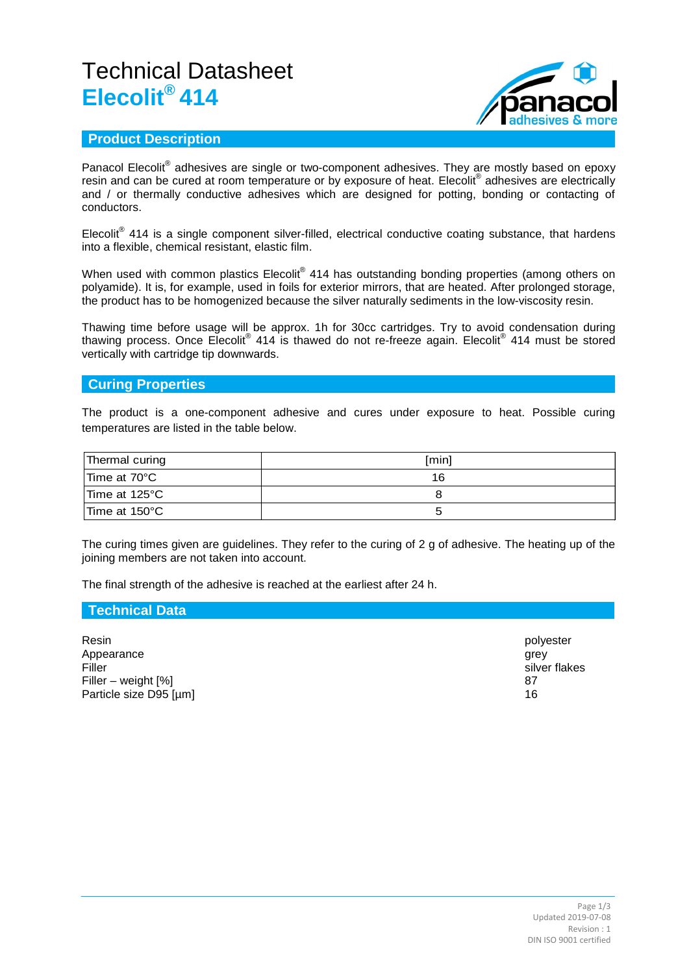# Technical Datasheet **Elecolit® 414**



## **Product Description**

Panacol Elecolit<sup>®</sup> adhesives are single or two-component adhesives. They are mostly based on epoxy resin and can be cured at room temperature or by exposure of heat. Elecolit® adhesives are electrically and / or thermally conductive adhesives which are designed for potting, bonding or contacting of conductors.

Elecolit<sup>®</sup> 414 is a single component silver-filled, electrical conductive coating substance, that hardens into a flexible, chemical resistant, elastic film.

When used with common plastics Elecolit $^{\circ}$  414 has outstanding bonding properties (among others on polyamide). It is, for example, used in foils for exterior mirrors, that are heated. After prolonged storage, the product has to be homogenized because the silver naturally sediments in the low-viscosity resin.

Thawing time before usage will be approx. 1h for 30cc cartridges. Try to avoid condensation during thawing process. Once Elecolit<sup>®</sup> 414 is thawed do not re-freeze again. Elecolit<sup>®</sup> 414 must be stored vertically with cartridge tip downwards.

## **Curing Properties**

The product is a one-component adhesive and cures under exposure to heat. Possible curing temperatures are listed in the table below.

| Thermal curing | [min] |
|----------------|-------|
| Time at 70°C   | 16    |
| Time at 125°C  |       |
| Time at 150°C  |       |

The curing times given are guidelines. They refer to the curing of 2 g of adhesive. The heating up of the joining members are not taken into account.

The final strength of the adhesive is reached at the earliest after 24 h.

#### **Technical Data**

Resin polyester Appearance grey and the state of the state of the state of the state of the state of the state of the state of<br>Filler states and the state of the state of the state of the state of the state of the state of the state of t Filler silver flakes Filler – weight [%] 87 Particle size D95 [µm] 16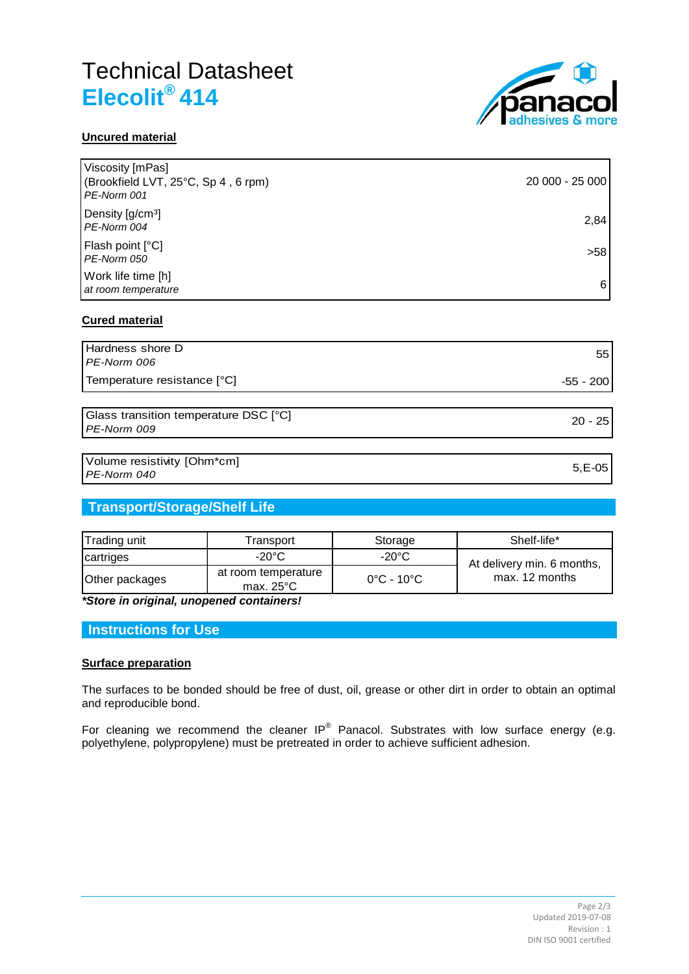# Technical Datasheet **Elecolit® 414**



## **Uncured material**

| Viscosity [mPas]<br>(Brookfield LVT, 25°C, Sp 4, 6 rpm)<br>PE-Norm 001 | 20 000 - 25 000 |
|------------------------------------------------------------------------|-----------------|
| Density [g/cm <sup>3</sup> ]<br>PE-Norm 004                            | 2,84            |
| Flash point [°C]<br>PE-Norm 050                                        | >58             |
| Work life time [h]<br>at room temperature                              | 6               |
|                                                                        |                 |

### **Cured material**

| Hardness shore D<br>PE-Norm 006                      | 55        |
|------------------------------------------------------|-----------|
| Temperature resistance [°C]                          | -55 - 200 |
|                                                      |           |
| Glass transition temperature DSC [°C]<br>PE-Norm 009 | $20 - 25$ |
|                                                      |           |
| Volume resistivity [Ohm*cm]<br>PE-Norm 040           | $5.E-05$  |

## **Transport/Storage/Shelf Life**

| Trading unit   | Transport                                  | Storage                         | Shelf-life*                                  |
|----------------|--------------------------------------------|---------------------------------|----------------------------------------------|
| cartriges      | -20°C                                      | $-20^{\circ}$ C                 | At delivery min. 6 months,<br>max. 12 months |
| Other packages | at room temperature<br>max. $25^{\circ}$ C | $0^{\circ}$ C - 10 $^{\circ}$ C |                                              |

*\*Store in original, unopened containers!*

## **Instructions for Use**

#### **Surface preparation**

The surfaces to be bonded should be free of dust, oil, grease or other dirt in order to obtain an optimal and reproducible bond.

For cleaning we recommend the cleaner IP<sup>®</sup> Panacol. Substrates with low surface energy (e.g. polyethylene, polypropylene) must be pretreated in order to achieve sufficient adhesion.